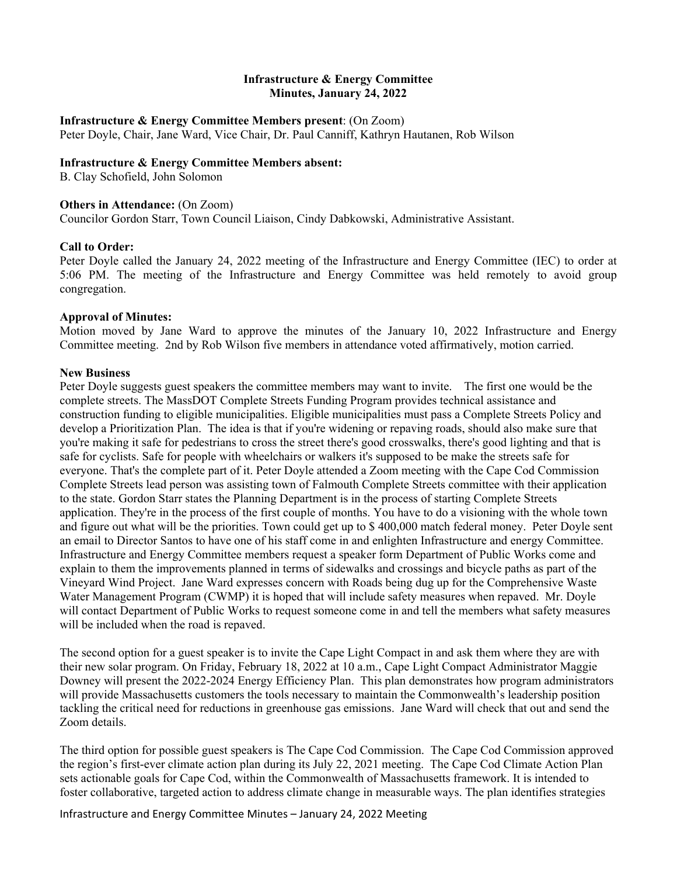## **Infrastructure & Energy Committee Minutes, January 24, 2022**

#### **Infrastructure & Energy Committee Members present**: (On Zoom)

Peter Doyle, Chair, Jane Ward, Vice Chair, Dr. Paul Canniff, Kathryn Hautanen, Rob Wilson

## **Infrastructure & Energy Committee Members absent:**

B. Clay Schofield, John Solomon

# **Others in Attendance:** (On Zoom)

Councilor Gordon Starr, Town Council Liaison, Cindy Dabkowski, Administrative Assistant.

# **Call to Order:**

Peter Doyle called the January 24, 2022 meeting of the Infrastructure and Energy Committee (IEC) to order at 5:06 PM. The meeting of the Infrastructure and Energy Committee was held remotely to avoid group congregation.

# **Approval of Minutes:**

Motion moved by Jane Ward to approve the minutes of the January 10, 2022 Infrastructure and Energy Committee meeting. 2nd by Rob Wilson five members in attendance voted affirmatively, motion carried.

# **New Business**

Peter Doyle suggests guest speakers the committee members may want to invite. The first one would be the complete streets. The MassDOT Complete Streets Funding Program provides technical assistance and construction funding to eligible municipalities. Eligible municipalities must pass a Complete Streets Policy and develop a Prioritization Plan. The idea is that if you're widening or repaving roads, should also make sure that you're making it safe for pedestrians to cross the street there's good crosswalks, there's good lighting and that is safe for cyclists. Safe for people with wheelchairs or walkers it's supposed to be make the streets safe for everyone. That's the complete part of it. Peter Doyle attended a Zoom meeting with the Cape Cod Commission Complete Streets lead person was assisting town of Falmouth Complete Streets committee with their application to the state. Gordon Starr states the Planning Department is in the process of starting Complete Streets application. They're in the process of the first couple of months. You have to do a visioning with the whole town and figure out what will be the priorities. Town could get up to \$ 400,000 match federal money. Peter Doyle sent an email to Director Santos to have one of his staff come in and enlighten Infrastructure and energy Committee. Infrastructure and Energy Committee members request a speaker form Department of Public Works come and explain to them the improvements planned in terms of sidewalks and crossings and bicycle paths as part of the Vineyard Wind Project. Jane Ward expresses concern with Roads being dug up for the Comprehensive Waste Water Management Program (CWMP) it is hoped that will include safety measures when repaved. Mr. Doyle will contact Department of Public Works to request someone come in and tell the members what safety measures will be included when the road is repaved.

The second option for a guest speaker is to invite the Cape Light Compact in and ask them where they are with their new solar program. On Friday, February 18, 2022 at 10 a.m., Cape Light Compact Administrator Maggie Downey will present the 2022-2024 Energy Efficiency Plan. This plan demonstrates how program administrators will provide Massachusetts customers the tools necessary to maintain the Commonwealth's leadership position tackling the critical need for reductions in greenhouse gas emissions. Jane Ward will check that out and send the Zoom details.

The third option for possible guest speakers is The Cape Cod Commission. The Cape Cod Commission approved the region's first-ever climate action plan during its July 22, 2021 meeting. The Cape Cod Climate Action Plan sets actionable goals for Cape Cod, within the Commonwealth of Massachusetts framework. It is intended to foster collaborative, targeted action to address climate change in measurable ways. The plan identifies strategies

Infrastructure and Energy Committee Minutes – January 24, 2022 Meeting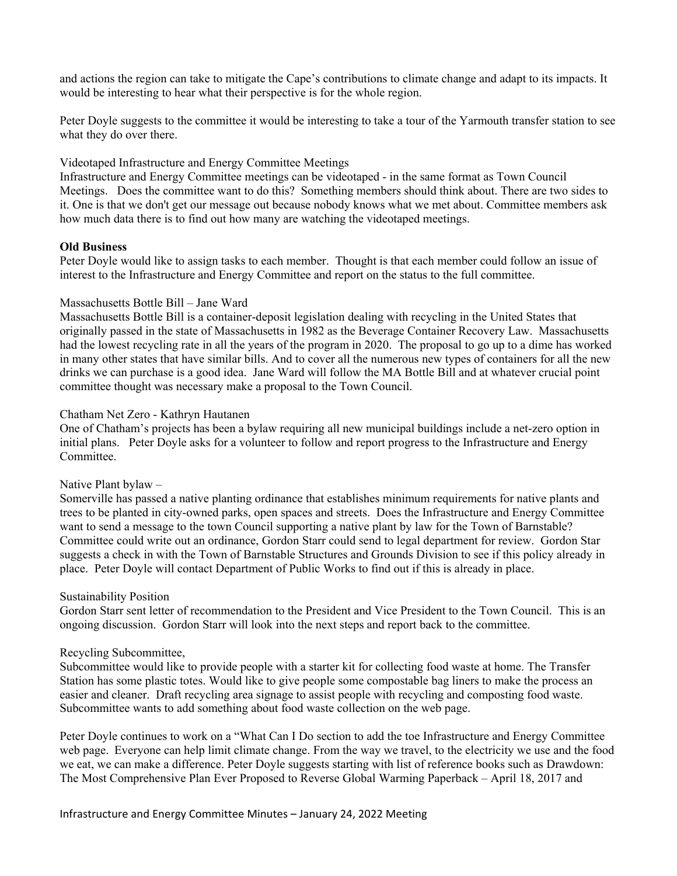and actions the region can take to mitigate the Cape's contributions to climate change and adapt to its impacts. It would be interesting to hear what their perspective is for the whole region.

Peter Doyle suggests to the committee it would be interesting to take a tour of the Yarmouth transfer station to see what they do over there.

## Videotaped Infrastructure and Energy Committee Meetings

Infrastructure and Energy Committee meetings can be videotaped - in the same format as Town Council Meetings. Does the committee want to do this? Something members should think about. There are two sides to it. One is that we don't get our message out because nobody knows what we met about. Committee members ask how much data there is to find out how many are watching the videotaped meetings.

## **Old Business**

Peter Doyle would like to assign tasks to each member. Thought is that each member could follow an issue of interest to the Infrastructure and Energy Committee and report on the status to the full committee.

### Massachusetts Bottle Bill – Jane Ward

Massachusetts Bottle Bill is a container-deposit legislation dealing with recycling in the United States that originally passed in the state of Massachusetts in 1982 as the Beverage Container Recovery Law. Massachusetts had the lowest recycling rate in all the years of the program in 2020. The proposal to go up to a dime has worked in many other states that have similar bills. And to cover all the numerous new types of containers for all the new drinks we can purchase is a good idea. Jane Ward will follow the MA Bottle Bill and at whatever crucial point committee thought was necessary make a proposal to the Town Council.

## Chatham Net Zero - Kathryn Hautanen

One of Chatham's projects has been a bylaw requiring all new municipal buildings include a net-zero option in initial plans. Peter Doyle asks for a volunteer to follow and report progress to the Infrastructure and Energy Committee.

# Native Plant bylaw –

Somerville has passed a native planting ordinance that establishes minimum requirements for native plants and trees to be planted in city-owned parks, open spaces and streets. Does the Infrastructure and Energy Committee want to send a message to the town Council supporting a native plant by law for the Town of Barnstable? Committee could write out an ordinance, Gordon Starr could send to legal department for review. Gordon Star suggests a check in with the Town of Barnstable Structures and Grounds Division to see if this policy already in place. Peter Doyle will contact Department of Public Works to find out if this is already in place.

#### Sustainability Position

Gordon Starr sent letter of recommendation to the President and Vice President to the Town Council. This is an ongoing discussion. Gordon Starr will look into the next steps and report back to the committee.

#### Recycling Subcommittee,

Subcommittee would like to provide people with a starter kit for collecting food waste at home. The Transfer Station has some plastic totes. Would like to give people some compostable bag liners to make the process an easier and cleaner. Draft recycling area signage to assist people with recycling and composting food waste. Subcommittee wants to add something about food waste collection on the web page.

Peter Doyle continues to work on a "What Can I Do section to add the toe Infrastructure and Energy Committee web page. Everyone can help limit climate change. From the way we travel, to the electricity we use and the food we eat, we can make a difference. Peter Doyle suggests starting with list of reference books such as Drawdown: The Most Comprehensive Plan Ever Proposed to Reverse Global Warming Paperback – April 18, 2017 and